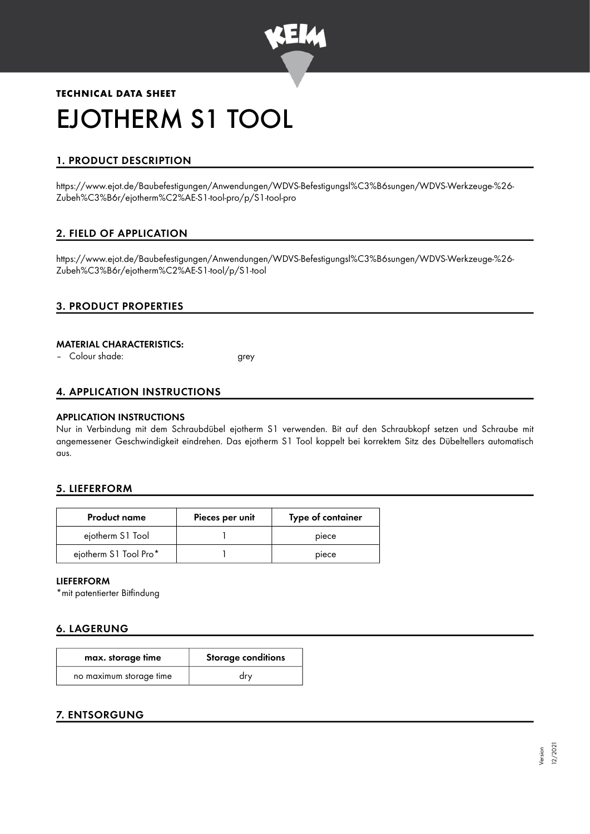

# **TECHNICAL DATA SHEET** EJOTHERM S1 TOOL

## 1. PRODUCT DESCRIPTION

https://www.ejot.de/Baubefestigungen/Anwendungen/WDVS-Befestigungsl%C3%B6sungen/WDVS-Werkzeuge-%26- Zubeh%C3%B6r/ejotherm%C2%AE-S1-tool-pro/p/S1-tool-pro

## 2. FIELD OF APPLICATION

https://www.ejot.de/Baubefestigungen/Anwendungen/WDVS-Befestigungsl%C3%B6sungen/WDVS-Werkzeuge-%26- Zubeh%C3%B6r/ejotherm%C2%AE-S1-tool/p/S1-tool

## 3. PRODUCT PROPERTIES

#### MATERIAL CHARACTERISTICS:

– Colour shade: grey

### 4. APPLICATION INSTRUCTIONS

#### APPLICATION INSTRUCTIONS

Nur in Verbindung mit dem Schraubdübel ejotherm S1 verwenden. Bit auf den Schraubkopf setzen und Schraube mit angemessener Geschwindigkeit eindrehen. Das ejotherm S1 Tool koppelt bei korrektem Sitz des Dübeltellers automatisch aus.

#### 5. LIEFERFORM

| <b>Product name</b>   | Pieces per unit | Type of container |
|-----------------------|-----------------|-------------------|
| ejotherm S1 Tool      |                 | piece             |
| ejotherm S1 Tool Pro* |                 | piece             |

#### LIEFERFORM

\*mit patentierter Bitfindung

## 6. LAGERUNG

| max. storage time       | <b>Storage conditions</b> |  |
|-------------------------|---------------------------|--|
| no maximum storage time | drv                       |  |

## 7. ENTSORGUNG

Version 12/2021